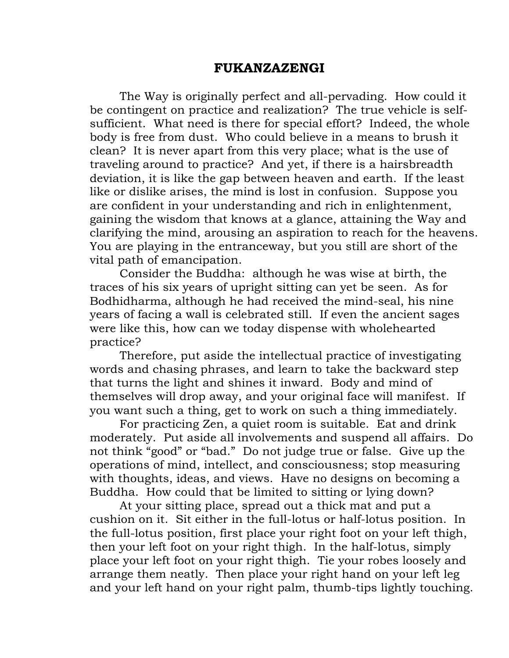## **FUKANZAZENGI**

The Way is originally perfect and all-pervading. How could it be contingent on practice and realization? The true vehicle is selfsufficient. What need is there for special effort? Indeed, the whole body is free from dust. Who could believe in a means to brush it clean? It is never apart from this very place; what is the use of traveling around to practice? And yet, if there is a hairsbreadth deviation, it is like the gap between heaven and earth. If the least like or dislike arises, the mind is lost in confusion. Suppose you are confident in your understanding and rich in enlightenment, gaining the wisdom that knows at a glance, attaining the Way and clarifying the mind, arousing an aspiration to reach for the heavens. You are playing in the entranceway, but you still are short of the vital path of emancipation.

Consider the Buddha: although he was wise at birth, the traces of his six years of upright sitting can yet be seen. As for Bodhidharma, although he had received the mind-seal, his nine years of facing a wall is celebrated still. If even the ancient sages were like this, how can we today dispense with wholehearted practice?

Therefore, put aside the intellectual practice of investigating words and chasing phrases, and learn to take the backward step that turns the light and shines it inward. Body and mind of themselves will drop away, and your original face will manifest. If you want such a thing, get to work on such a thing immediately.

For practicing Zen, a quiet room is suitable. Eat and drink moderately. Put aside all involvements and suspend all affairs. Do not think "good" or "bad." Do not judge true or false. Give up the operations of mind, intellect, and consciousness; stop measuring with thoughts, ideas, and views. Have no designs on becoming a Buddha. How could that be limited to sitting or lying down?

At your sitting place, spread out a thick mat and put a cushion on it. Sit either in the full-lotus or half-lotus position. In the full-lotus position, first place your right foot on your left thigh, then your left foot on your right thigh. In the half-lotus, simply place your left foot on your right thigh. Tie your robes loosely and arrange them neatly. Then place your right hand on your left leg and your left hand on your right palm, thumb-tips lightly touching.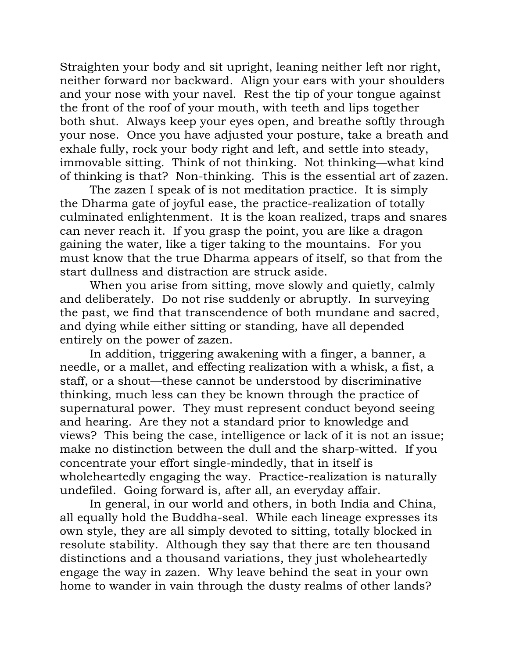Straighten your body and sit upright, leaning neither left nor right, neither forward nor backward. Align your ears with your shoulders and your nose with your navel. Rest the tip of your tongue against the front of the roof of your mouth, with teeth and lips together both shut. Always keep your eyes open, and breathe softly through your nose. Once you have adjusted your posture, take a breath and exhale fully, rock your body right and left, and settle into steady, immovable sitting. Think of not thinking. Not thinking—what kind of thinking is that? Non-thinking. This is the essential art of zazen.

The zazen I speak of is not meditation practice. It is simply the Dharma gate of joyful ease, the practice-realization of totally culminated enlightenment. It is the koan realized, traps and snares can never reach it. If you grasp the point, you are like a dragon gaining the water, like a tiger taking to the mountains. For you must know that the true Dharma appears of itself, so that from the start dullness and distraction are struck aside.

When you arise from sitting, move slowly and quietly, calmly and deliberately. Do not rise suddenly or abruptly. In surveying the past, we find that transcendence of both mundane and sacred, and dying while either sitting or standing, have all depended entirely on the power of zazen.

In addition, triggering awakening with a finger, a banner, a needle, or a mallet, and effecting realization with a whisk, a fist, a staff, or a shout—these cannot be understood by discriminative thinking, much less can they be known through the practice of supernatural power. They must represent conduct beyond seeing and hearing. Are they not a standard prior to knowledge and views? This being the case, intelligence or lack of it is not an issue; make no distinction between the dull and the sharp-witted. If you concentrate your effort single-mindedly, that in itself is wholeheartedly engaging the way. Practice-realization is naturally undefiled. Going forward is, after all, an everyday affair.

In general, in our world and others, in both India and China, all equally hold the Buddha-seal. While each lineage expresses its own style, they are all simply devoted to sitting, totally blocked in resolute stability. Although they say that there are ten thousand distinctions and a thousand variations, they just wholeheartedly engage the way in zazen. Why leave behind the seat in your own home to wander in vain through the dusty realms of other lands?